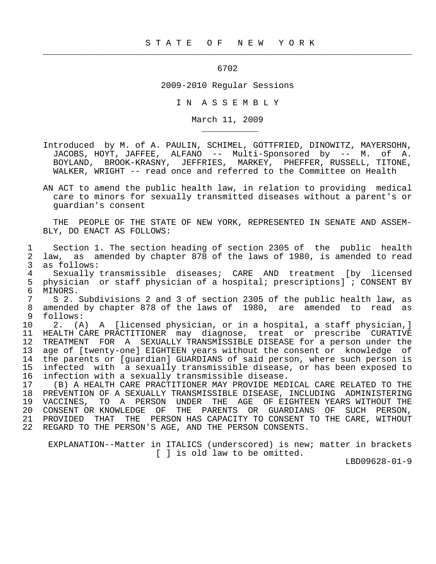## 6702

 $\frac{1}{2}$  , and the contract of the contract of the contract of the contract of the contract of the contract of the contract of the contract of the contract of the contract of the contract of the contract of the contract

\_\_\_\_\_\_\_\_\_\_\_

## 2009-2010 Regular Sessions

I N A S S E M B L Y

March 11, 2009

 Introduced by M. of A. PAULIN, SCHIMEL, GOTTFRIED, DINOWITZ, MAYERSOHN, JACOBS, HOYT, JAFFEE, ALFANO -- Multi-Sponsored by -- M. of A. BOYLAND, BROOK-KRASNY, JEFFRIES, MARKEY, PHEFFER, RUSSELL, TITONE, WALKER, WRIGHT -- read once and referred to the Committee on Health

 AN ACT to amend the public health law, in relation to providing medical care to minors for sexually transmitted diseases without a parent's or guardian's consent

 THE PEOPLE OF THE STATE OF NEW YORK, REPRESENTED IN SENATE AND ASSEM- BLY, DO ENACT AS FOLLOWS:

 1 Section 1. The section heading of section 2305 of the public health 2 law, as amended by chapter 878 of the laws of 1980, is amended to read 3 as follows:<br>4 Sexually t 4 Sexually transmissible diseases; CARE AND treatment [by licensed<br>5 physician or staff physician of a hospital; prescriptions]; CONSENT BY 5 physician or staff physician of a hospital; prescriptions]; CONSENT BY<br>6 MINORS. 6 MINORS.<br>7 S 2 S 2. Subdivisions 2 and 3 of section 2305 of the public health law, as 8 amended by chapter 878 of the laws of 1980, are amended to read as follows: 9 follows:<br>10 2. (A 10 2. (A) A [licensed physician, or in a hospital, a staff physician,]<br>11 HEALTH CARE PRACTITIONER may diagnose, treat or prescribe CURATIVE 11 HEALTH CARE PRACTITIONER may diagnose, treat or prescribe CURATIVE 12 TREATMENT FOR A SEXUALLY TRANSMISSIBLE DISEASE for a person under the 13 age of [twenty-one] EIGHTEEN years without the consent or knowledge of 14 the parents or [guardian] GUARDIANS of said person, where such person is<br>15 infected with a sexually transmissible disease, or has been exposed to 15 infected with a sexually transmissible disease, or has been exposed to<br>16 infection with a sexually transmissible disease. 16 infection with a sexually transmissible disease.<br>17 (B) A HEALTH CARE PRACTITIONER MAY PROVIDE MED 17 (B) A HEALTH CARE PRACTITIONER MAY PROVIDE MEDICAL CARE RELATED TO THE 18 PREVENTION OF A SEXUALLY TRANSMISSIBLE DISEASE, INCLUDING ADMINISTERING 19 VACCINES, TO A PERSON UNDER THE AGE OF EIGHTEEN YEARS WITHOUT THE 20 CONSENT OR KNOWLEDGE OF THE PARENTS OR GUARDIANS OF SUCH PERSON, 21 PROVIDED THAT THE PERSON HAS CAPACITY TO CONSENT TO THE CARE, WITHOUT

22 REGARD TO THE PERSON'S AGE, AND THE PERSON CONSENTS.

 EXPLANATION--Matter in ITALICS (underscored) is new; matter in brackets [ ] is old law to be omitted.

LBD09628-01-9